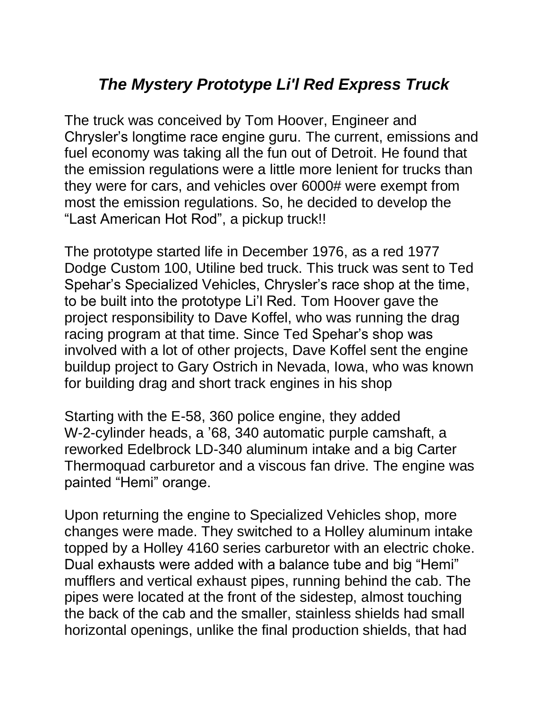## *The Mystery Prototype Li'l Red Express Truck*

The truck was conceived by Tom Hoover, Engineer and Chrysler's longtime race engine guru. The current, emissions and fuel economy was taking all the fun out of Detroit. He found that the emission regulations were a little more lenient for trucks than they were for cars, and vehicles over 6000# were exempt from most the emission regulations. So, he decided to develop the "Last American Hot Rod", a pickup truck!!

The prototype started life in December 1976, as a red 1977 Dodge Custom 100, Utiline bed truck. This truck was sent to Ted Spehar's Specialized Vehicles, Chrysler's race shop at the time, to be built into the prototype Li'l Red. Tom Hoover gave the project responsibility to Dave Koffel, who was running the drag racing program at that time. Since Ted Spehar's shop was involved with a lot of other projects, Dave Koffel sent the engine buildup project to Gary Ostrich in Nevada, Iowa, who was known for building drag and short track engines in his shop

Starting with the E-58, 360 police engine, they added W-2-cylinder heads, a '68, 340 automatic purple camshaft, a reworked Edelbrock LD-340 aluminum intake and a big Carter Thermoquad carburetor and a viscous fan drive. The engine was painted "Hemi" orange.

Upon returning the engine to Specialized Vehicles shop, more changes were made. They switched to a Holley aluminum intake topped by a Holley 4160 series carburetor with an electric choke. Dual exhausts were added with a balance tube and big "Hemi" mufflers and vertical exhaust pipes, running behind the cab. The pipes were located at the front of the sidestep, almost touching the back of the cab and the smaller, stainless shields had small horizontal openings, unlike the final production shields, that had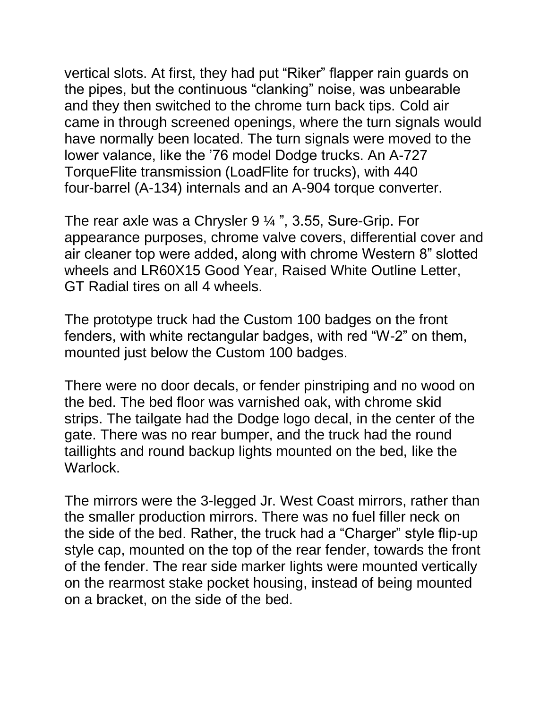vertical slots. At first, they had put "Riker" flapper rain guards on the pipes, but the continuous "clanking" noise, was unbearable and they then switched to the chrome turn back tips. Cold air came in through screened openings, where the turn signals would have normally been located. The turn signals were moved to the lower valance, like the '76 model Dodge trucks. An A-727 TorqueFlite transmission (LoadFlite for trucks), with 440 four-barrel (A-134) internals and an A-904 torque converter.

The rear axle was a Chrysler 9 ¼ ", 3.55, Sure-Grip. For appearance purposes, chrome valve covers, differential cover and air cleaner top were added, along with chrome Western 8" slotted wheels and LR60X15 Good Year, Raised White Outline Letter, GT Radial tires on all 4 wheels.

The prototype truck had the Custom 100 badges on the front fenders, with white rectangular badges, with red "W-2" on them, mounted just below the Custom 100 badges.

There were no door decals, or fender pinstriping and no wood on the bed. The bed floor was varnished oak, with chrome skid strips. The tailgate had the Dodge logo decal, in the center of the gate. There was no rear bumper, and the truck had the round taillights and round backup lights mounted on the bed, like the Warlock.

The mirrors were the 3-legged Jr. West Coast mirrors, rather than the smaller production mirrors. There was no fuel filler neck on the side of the bed. Rather, the truck had a "Charger" style flip-up style cap, mounted on the top of the rear fender, towards the front of the fender. The rear side marker lights were mounted vertically on the rearmost stake pocket housing, instead of being mounted on a bracket, on the side of the bed.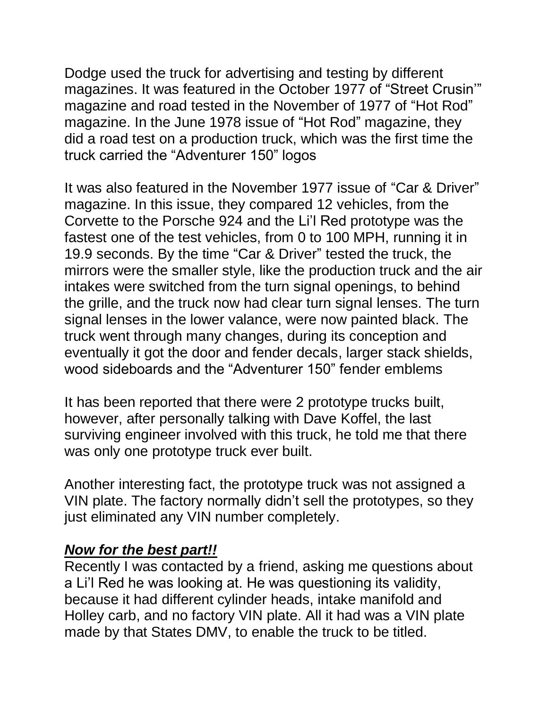Dodge used the truck for advertising and testing by different magazines. It was featured in the October 1977 of "Street Crusin'" magazine and road tested in the November of 1977 of "Hot Rod" magazine. In the June 1978 issue of "Hot Rod" magazine, they did a road test on a production truck, which was the first time the truck carried the "Adventurer 150" logos

It was also featured in the November 1977 issue of "Car & Driver" magazine. In this issue, they compared 12 vehicles, from the Corvette to the Porsche 924 and the Li'l Red prototype was the fastest one of the test vehicles, from 0 to 100 MPH, running it in 19.9 seconds. By the time "Car & Driver" tested the truck, the mirrors were the smaller style, like the production truck and the air intakes were switched from the turn signal openings, to behind the grille, and the truck now had clear turn signal lenses. The turn signal lenses in the lower valance, were now painted black. The truck went through many changes, during its conception and eventually it got the door and fender decals, larger stack shields, wood sideboards and the "Adventurer 150" fender emblems

It has been reported that there were 2 prototype trucks built, however, after personally talking with Dave Koffel, the last surviving engineer involved with this truck, he told me that there was only one prototype truck ever built.

Another interesting fact, the prototype truck was not assigned a VIN plate. The factory normally didn't sell the prototypes, so they just eliminated any VIN number completely.

## *Now for the best part!!*

Recently I was contacted by a friend, asking me questions about a Li'l Red he was looking at. He was questioning its validity, because it had different cylinder heads, intake manifold and Holley carb, and no factory VIN plate. All it had was a VIN plate made by that States DMV, to enable the truck to be titled.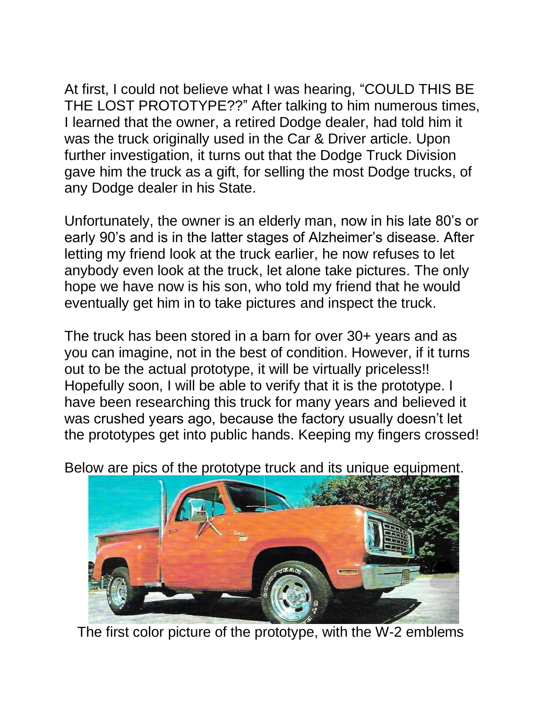At first, I could not believe what I was hearing, "COULD THIS BE THE LOST PROTOTYPE??" After talking to him numerous times, I learned that the owner, a retired Dodge dealer, had told him it was the truck originally used in the Car & Driver article. Upon further investigation, it turns out that the Dodge Truck Division gave him the truck as a gift, for selling the most Dodge trucks, of any Dodge dealer in his State.

Unfortunately, the owner is an elderly man, now in his late 80's or early 90's and is in the latter stages of Alzheimer's disease. After letting my friend look at the truck earlier, he now refuses to let anybody even look at the truck, let alone take pictures. The only hope we have now is his son, who told my friend that he would eventually get him in to take pictures and inspect the truck.

The truck has been stored in a barn for over 30+ years and as you can imagine, not in the best of condition. However, if it turns out to be the actual prototype, it will be virtually priceless!! Hopefully soon, I will be able to verify that it is the prototype. I have been researching this truck for many years and believed it was crushed years ago, because the factory usually doesn't let the prototypes get into public hands. Keeping my fingers crossed!

Below are pics of the prototype truck and its unique equipment.



The first color picture of the prototype, with the W-2 emblems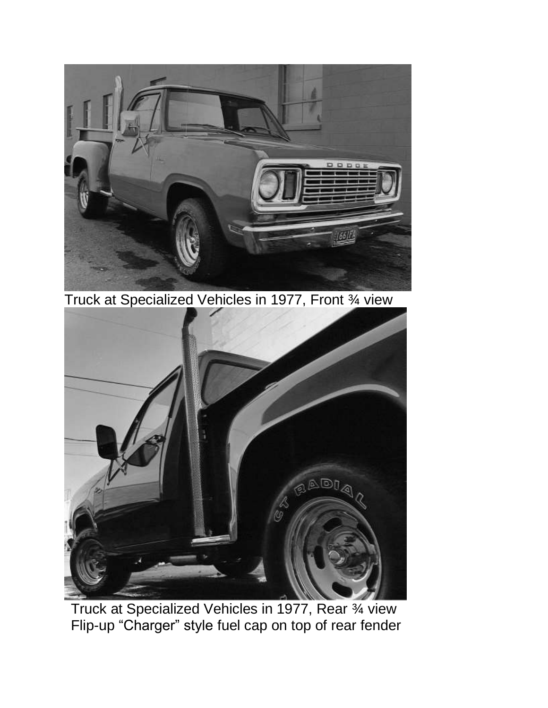

Truck at Specialized Vehicles in 1977, Front ¾ view



Truck at Specialized Vehicles in 1977, Rear ¾ view Flip-up "Charger" style fuel cap on top of rear fender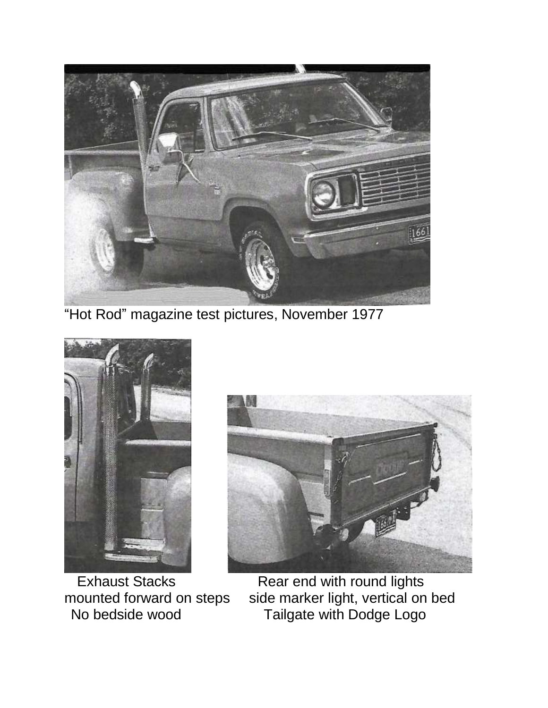

"Hot Rod" magazine test pictures, November 1977





Exhaust Stacks **Rear end with round lights** mounted forward on steps side marker light, vertical on bed No bedside wood Tailgate with Dodge Logo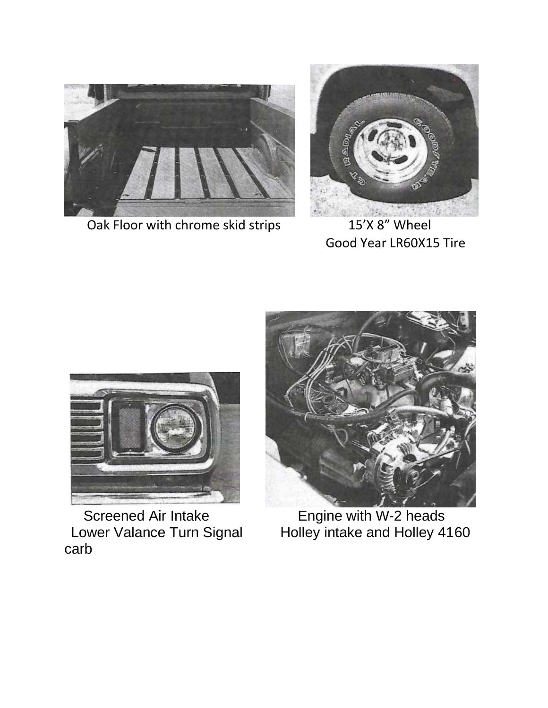

Oak Floor with chrome skid strips 15'X 8" Wheel



Good Year LR60X15 Tire



Screened Air Intake **Engine with W-2 heads** Lower Valance Turn Signal<br>carb



Lower Valance Turn Signal Holley intake and Holley 4160